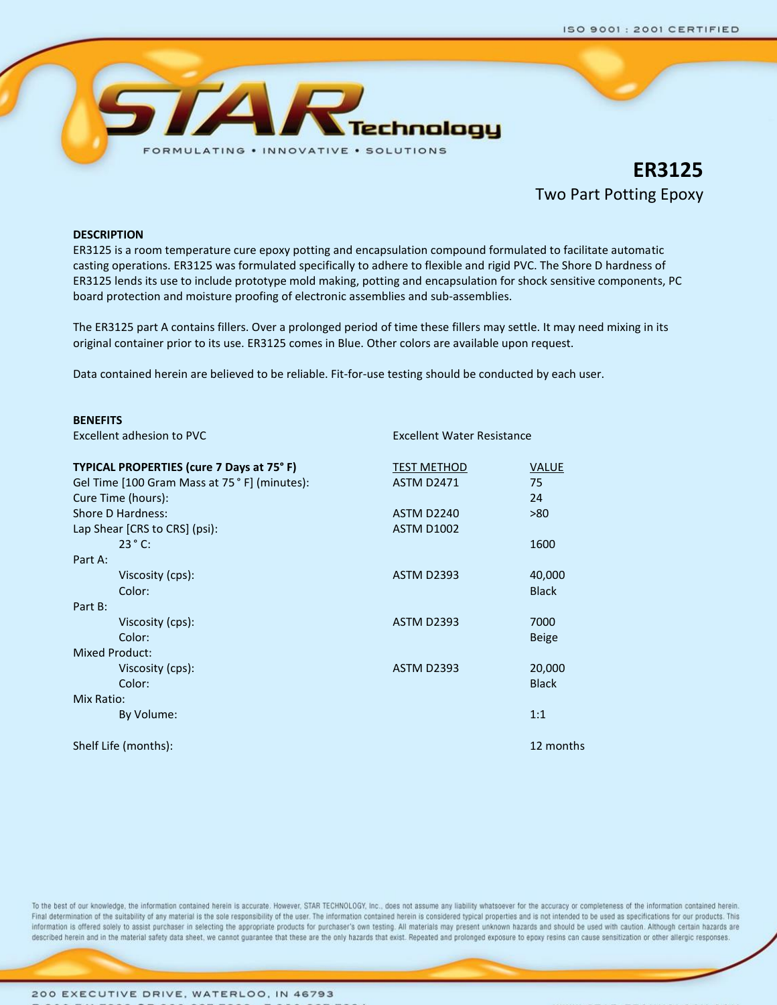

**ER3125** Two Part Potting Epoxy

## **DESCRIPTION**

ER3125 is a room temperature cure epoxy potting and encapsulation compound formulated to facilitate automatic casting operations. ER3125 was formulated specifically to adhere to flexible and rigid PVC. The Shore D hardness of ER3125 lends its use to include prototype mold making, potting and encapsulation for shock sensitive components, PC board protection and moisture proofing of electronic assemblies and sub‐assemblies.

The ER3125 part A contains fillers. Over a prolonged period of time these fillers may settle. It may need mixing in its original container prior to its use. ER3125 comes in Blue. Other colors are available upon request.

Data contained herein are believed to be reliable. Fit-for-use testing should be conducted by each user.

| <b>BENEFITS</b>                               |                                   |              |
|-----------------------------------------------|-----------------------------------|--------------|
| Excellent adhesion to PVC                     | <b>Excellent Water Resistance</b> |              |
| TYPICAL PROPERTIES (cure 7 Days at 75°F)      | <b>TEST METHOD</b>                | <b>VALUE</b> |
| Gel Time [100 Gram Mass at 75 ° F] (minutes): | <b>ASTM D2471</b>                 | 75           |
| Cure Time (hours):                            |                                   | 24           |
| Shore D Hardness:                             | ASTM D <sub>2240</sub>            | >80          |
| Lap Shear [CRS to CRS] (psi):                 | <b>ASTM D1002</b>                 |              |
| $23^{\circ}$ C:                               |                                   | 1600         |
| Part A:                                       |                                   |              |
| Viscosity (cps):                              | <b>ASTM D2393</b>                 | 40,000       |
| Color:                                        |                                   | <b>Black</b> |
| Part B:                                       |                                   |              |
| Viscosity (cps):                              | <b>ASTM D2393</b>                 | 7000         |
| Color:                                        |                                   | <b>Beige</b> |
| <b>Mixed Product:</b>                         |                                   |              |
| Viscosity (cps):                              | <b>ASTM D2393</b>                 | 20,000       |
| Color:                                        |                                   | <b>Black</b> |
| Mix Ratio:                                    |                                   |              |
| By Volume:                                    |                                   | 1:1          |
| Shelf Life (months):                          |                                   | 12 months    |

To the best of our knowledge, the information contained herein is accurate. However, STAR TECHNOLOGY, Inc., does not assume any liability whatsoever for the accuracy or completeness of the information contained herein. Final determination of the suitability of any material is the sole responsibility of the user. The information contained herein is considered typical properties and is not intended to be used as specifications for our prod Information is offered solely to assist purchaser in selecting the appropriate products for purchaser's own testing. All materials may present unknown hazards and should be used with caution. Although certain hazards described herein and in the material safety data sheet, we cannot guarantee that these are the only hazards that exist. Repeated and prolonged exposure to epoxy resins can cause sensitization or other allergic responses.